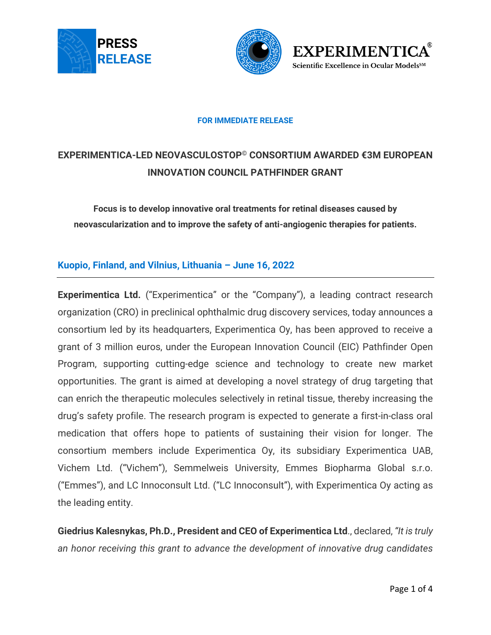





#### **FOR IMMEDIATE RELEASE**

# **EXPERIMENTICA-LED NEOVASCULOSTOP© CONSORTIUM AWARDED €3M EUROPEAN INNOVATION COUNCIL PATHFINDER GRANT**

**Focus is to develop innovative oral treatments for retinal diseases caused by neovascularization and to improve the safety of anti-angiogenic therapies for patients.**

## **Kuopio, Finland, and Vilnius, Lithuania – June 16, 2022**

**Experimentica Ltd.** ("Experimentica" or the "Company"), a leading contract research organization (CRO) in preclinical ophthalmic drug discovery services, today announces a consortium led by its headquarters, Experimentica Oy, has been approved to receive a grant of 3 million euros, under the European Innovation Council (EIC) Pathfinder Open Program, supporting cutting-edge science and technology to create new market opportunities. The grant is aimed at developing a novel strategy of drug targeting that can enrich the therapeutic molecules selectively in retinal tissue, thereby increasing the drug's safety profile. The research program is expected to generate a first-in-class oral medication that offers hope to patients of sustaining their vision for longer. The consortium members include Experimentica Oy, its subsidiary Experimentica UAB, Vichem Ltd. ("Vichem"), Semmelweis University, Emmes Biopharma Global s.r.o. ("Emmes"), and LC Innoconsult Ltd. ("LC Innoconsult"), with Experimentica Oy acting as the leading entity.

**Giedrius Kalesnykas, Ph.D., President and CEO of Experimentica Ltd**., declared, *"It is truly an honor receiving this grant to advance the development of innovative drug candidates*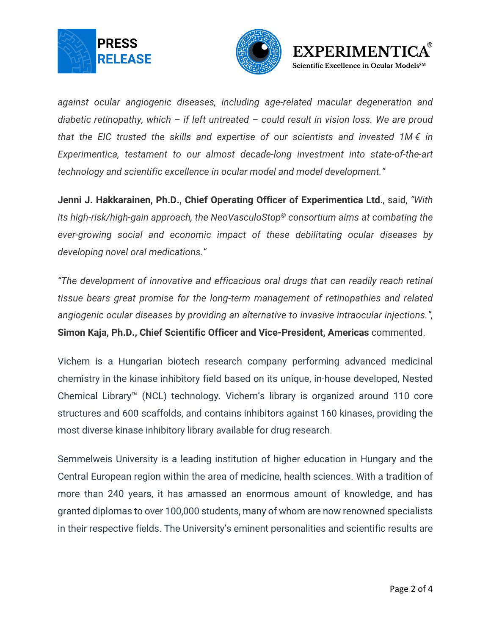





*against ocular angiogenic diseases, including age-related macular degeneration and diabetic retinopathy, which – if left untreated – could result in vision loss. We are proud that the EIC trusted the skills and expertise of our scientists and invested 1M € in Experimentica, testament to our almost decade-long investment into state-of-the-art technology and scientific excellence in ocular model and model development."*

**Jenni J. Hakkarainen, Ph.D., Chief Operating Officer of Experimentica Ltd**., said, *"With its high-risk/high-gain approach, the NeoVasculoStop© consortium aims at combating the ever-growing social and economic impact of these debilitating ocular diseases by developing novel oral medications."*

*"The development of innovative and efficacious oral drugs that can readily reach retinal tissue bears great promise for the long-term management of retinopathies and related angiogenic ocular diseases by providing an alternative to invasive intraocular injections.",* **Simon Kaja, Ph.D., Chief Scientific Officer and Vice-President, Americas** commented.

Vichem is a Hungarian biotech research company performing advanced medicinal chemistry in the kinase inhibitory field based on its unique, in-house developed, Nested Chemical Library™ (NCL) technology. Vichem's library is organized around 110 core structures and 600 scaffolds, and contains inhibitors against 160 kinases, providing the most diverse kinase inhibitory library available for drug research.

Semmelweis University is a leading institution of higher education in Hungary and the Central European region within the area of medicine, health sciences. With a tradition of more than 240 years, it has amassed an enormous amount of knowledge, and has granted diplomas to over 100,000 students, many of whom are now renowned specialists in their respective fields. The University's eminent personalities and scientific results are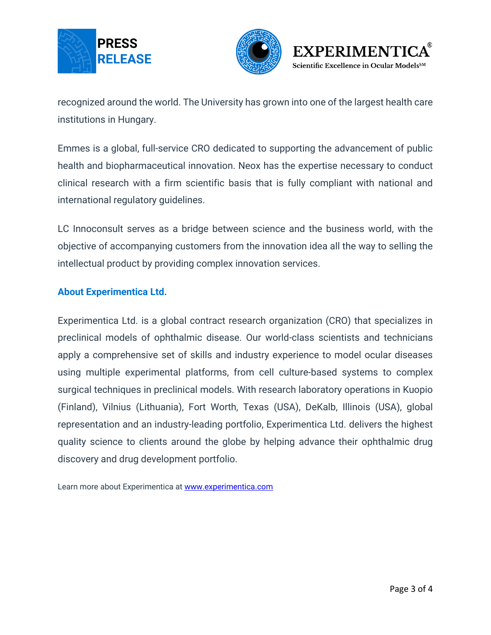





recognized around the world. The University has grown into one of the largest health care institutions in Hungary.

Emmes is a global, full-service CRO dedicated to supporting the advancement of public health and biopharmaceutical innovation. Neox has the expertise necessary to conduct clinical research with a firm scientific basis that is fully compliant with national and international regulatory guidelines.

LC Innoconsult serves as a bridge between science and the business world, with the objective of accompanying customers from the innovation idea all the way to selling the intellectual product by providing complex innovation services.

## **About Experimentica Ltd.**

Experimentica Ltd. is a global contract research organization (CRO) that specializes in preclinical models of ophthalmic disease. Our world-class scientists and technicians apply a comprehensive set of skills and industry experience to model ocular diseases using multiple experimental platforms, from cell culture-based systems to complex surgical techniques in preclinical models. With research laboratory operations in Kuopio (Finland), Vilnius (Lithuania), Fort Worth, Texas (USA), DeKalb, Illinois (USA), global representation and an industry-leading portfolio, Experimentica Ltd. delivers the highest quality science to clients around the globe by helping advance their ophthalmic drug discovery and drug development portfolio.

Learn more about Experimentica at [www.experimentica.com](http://www.experimentica.com/)